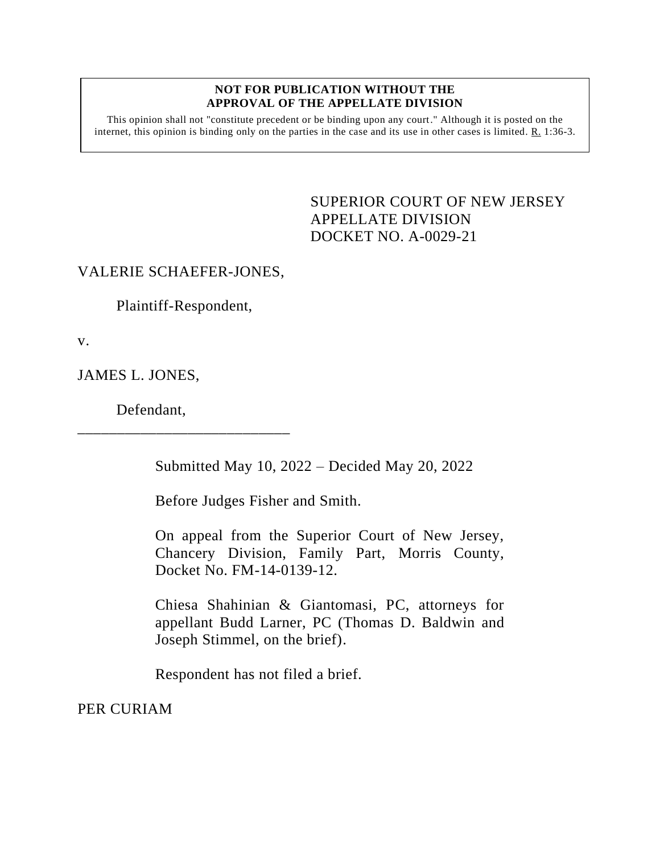## **NOT FOR PUBLICATION WITHOUT THE APPROVAL OF THE APPELLATE DIVISION**

This opinion shall not "constitute precedent or be binding upon any court." Although it is posted on the internet, this opinion is binding only on the parties in the case and its use in other cases is limited. R. 1:36-3.

> <span id="page-0-0"></span>SUPERIOR COURT OF NEW JERSEY APPELLATE DIVISION DOCKET NO. A-0029-21

## VALERIE SCHAEFER-JONES,

Plaintiff-Respondent,

\_\_\_\_\_\_\_\_\_\_\_\_\_\_\_\_\_\_\_\_\_\_\_\_\_\_\_

v.

JAMES L. JONES,

Defendant,

Submitted May 10, 2022 – Decided May 20, 2022

Before Judges Fisher and Smith.

On appeal from the Superior Court of New Jersey, Chancery Division, Family Part, Morris County, Docket No. FM-14-0139-12.

Chiesa Shahinian & Giantomasi, PC, attorneys for appellant Budd Larner, PC (Thomas D. Baldwin and Joseph Stimmel, on the brief).

Respondent has not filed a brief.

PER CURIAM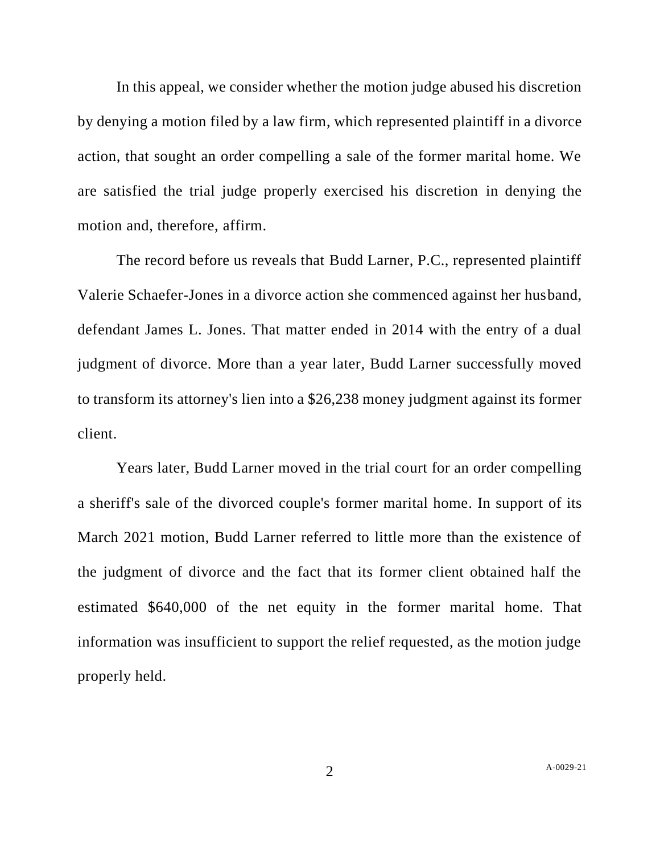In this appeal, we consider whether the motion judge abused his discretion by denying a motion filed by a law firm, which represented plaintiff in a divorce action, that sought an order compelling a sale of the former marital home. We are satisfied the trial judge properly exercised his discretion in denying the motion and, therefore, affirm.

The record before us reveals that Budd Larner, P.C., represented plaintiff Valerie Schaefer-Jones in a divorce action she commenced against her husband, defendant James L. Jones. That matter ended in 2014 with the entry of a dual judgment of divorce. More than a year later, Budd Larner successfully moved to transform its attorney's lien into a \$26,238 money judgment against its former client.

Years later, Budd Larner moved in the trial court for an order compelling a sheriff's sale of the divorced couple's former marital home. In support of its March 2021 motion, Budd Larner referred to little more than the existence of the judgment of divorce and the fact that its former client obtained half the estimated \$640,000 of the net equity in the former marital home. That information was insufficient to support the relief requested, as the motion judge properly held.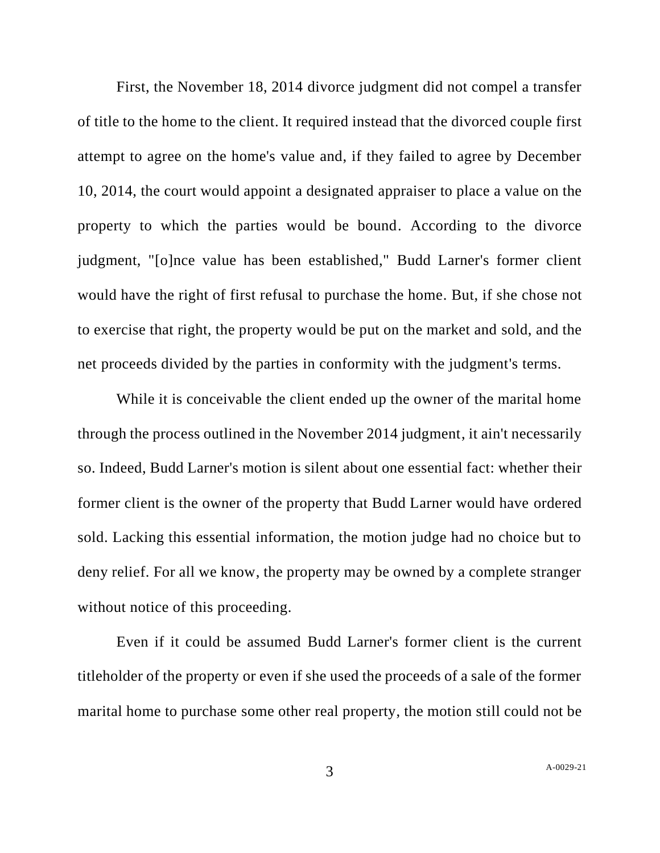First, the November 18, 2014 divorce judgment did not compel a transfer of title to the home to the client. It required instead that the divorced couple first attempt to agree on the home's value and, if they failed to agree by December 10, 2014, the court would appoint a designated appraiser to place a value on the property to which the parties would be bound. According to the divorce judgment, "[o]nce value has been established," Budd Larner's former client would have the right of first refusal to purchase the home. But, if she chose not to exercise that right, the property would be put on the market and sold, and the net proceeds divided by the parties in conformity with the judgment's terms.

While it is conceivable the client ended up the owner of the marital home through the process outlined in the November 2014 judgment, it ain't necessarily so. Indeed, Budd Larner's motion is silent about one essential fact: whether their former client is the owner of the property that Budd Larner would have ordered sold. Lacking this essential information, the motion judge had no choice but to deny relief. For all we know, the property may be owned by a complete stranger without notice of this proceeding.

Even if it could be assumed Budd Larner's former client is the current titleholder of the property or even if she used the proceeds of a sale of the former marital home to purchase some other real property, the motion still could not be